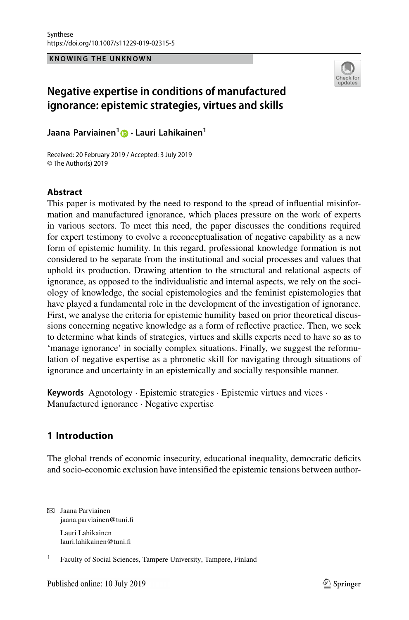**KNOWING THE UNKNOWN**



# **Negative expertise in conditions of manufactured ignorance: epistemic strategies, virtues and skills**

**Jaana Parviainen[1](http://orcid.org/0000-0002-7838-592X) · Lauri Lahikainen<sup>1</sup>**

Received: 20 February 2019 / Accepted: 3 July 2019 © The Author(s) 2019

## **Abstract**

This paper is motivated by the need to respond to the spread of influential misinformation and manufactured ignorance, which places pressure on the work of experts in various sectors. To meet this need, the paper discusses the conditions required for expert testimony to evolve a reconceptualisation of negative capability as a new form of epistemic humility. In this regard, professional knowledge formation is not considered to be separate from the institutional and social processes and values that uphold its production. Drawing attention to the structural and relational aspects of ignorance, as opposed to the individualistic and internal aspects, we rely on the sociology of knowledge, the social epistemologies and the feminist epistemologies that have played a fundamental role in the development of the investigation of ignorance. First, we analyse the criteria for epistemic humility based on prior theoretical discussions concerning negative knowledge as a form of reflective practice. Then, we seek to determine what kinds of strategies, virtues and skills experts need to have so as to 'manage ignorance' in socially complex situations. Finally, we suggest the reformulation of negative expertise as a phronetic skill for navigating through situations of ignorance and uncertainty in an epistemically and socially responsible manner.

**Keywords** Agnotology · Epistemic strategies · Epistemic virtues and vices · Manufactured ignorance · Negative expertise

## **1 Introduction**

The global trends of economic insecurity, educational inequality, democratic deficits and socio-economic exclusion have intensified the epistemic tensions between author-

 $\boxtimes$  Jaana Parviainen jaana.parviainen@tuni.fi Lauri Lahikainen lauri.lahikainen@tuni.fi

<sup>&</sup>lt;sup>1</sup> Faculty of Social Sciences, Tampere University, Tampere, Finland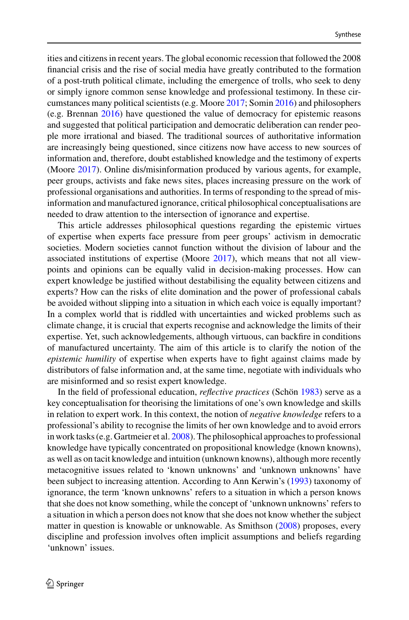ities and citizens in recent years. The global economic recession that followed the 2008 financial crisis and the rise of social media have greatly contributed to the formation of a post-truth political climate, including the emergence of trolls, who seek to deny or simply ignore common sense knowledge and professional testimony. In these circumstances many political scientists (e.g. Moore [2017;](#page-17-0) Somin [2016\)](#page-18-0) and philosophers (e.g. Brennan [2016\)](#page-16-0) have questioned the value of democracy for epistemic reasons and suggested that political participation and democratic deliberation can render people more irrational and biased. The traditional sources of authoritative information are increasingly being questioned, since citizens now have access to new sources of information and, therefore, doubt established knowledge and the testimony of experts (Moore [2017\)](#page-17-0). Online dis/misinformation produced by various agents, for example, peer groups, activists and fake news sites, places increasing pressure on the work of professional organisations and authorities. In terms of responding to the spread of misinformation and manufactured ignorance, critical philosophical conceptualisations are needed to draw attention to the intersection of ignorance and expertise.

This article addresses philosophical questions regarding the epistemic virtues of expertise when experts face pressure from peer groups' activism in democratic societies. Modern societies cannot function without the division of labour and the associated institutions of expertise (Moore [2017\)](#page-17-0), which means that not all viewpoints and opinions can be equally valid in decision-making processes. How can expert knowledge be justified without destabilising the equality between citizens and experts? How can the risks of elite domination and the power of professional cabals be avoided without slipping into a situation in which each voice is equally important? In a complex world that is riddled with uncertainties and wicked problems such as climate change, it is crucial that experts recognise and acknowledge the limits of their expertise. Yet, such acknowledgements, although virtuous, can backfire in conditions of manufactured uncertainty. The aim of this article is to clarify the notion of the *epistemic humility* of expertise when experts have to fight against claims made by distributors of false information and, at the same time, negotiate with individuals who are misinformed and so resist expert knowledge.

In the field of professional education, *reflective practices* (Schön [1983\)](#page-18-1) serve as a key conceptualisation for theorising the limitations of one's own knowledge and skills in relation to expert work. In this context, the notion of *negative knowledge* refers to a professional's ability to recognise the limits of her own knowledge and to avoid errors in work tasks (e.g. Gartmeier et al. [2008\)](#page-16-1). The philosophical approaches to professional knowledge have typically concentrated on propositional knowledge (known knowns), as well as on tacit knowledge and intuition (unknown knowns), although more recently metacognitive issues related to 'known unknowns' and 'unknown unknowns' have been subject to increasing attention. According to Ann Kerwin's [\(1993\)](#page-17-1) taxonomy of ignorance, the term 'known unknowns' refers to a situation in which a person knows that she does not know something, while the concept of 'unknown unknowns' refers to a situation in which a person does not know that she does not know whether the subject matter in question is knowable or unknowable. As Smithson [\(2008\)](#page-18-2) proposes, every discipline and profession involves often implicit assumptions and beliefs regarding 'unknown' issues.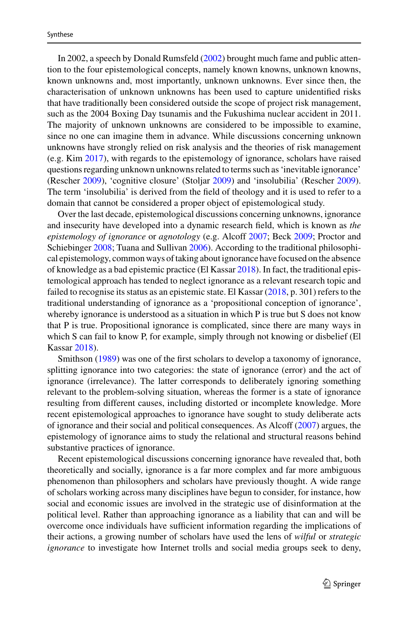In 2002, a speech by Donald Rumsfeld [\(2002\)](#page-18-3) brought much fame and public attention to the four epistemological concepts, namely known knowns, unknown knowns, known unknowns and, most importantly, unknown unknowns. Ever since then, the characterisation of unknown unknowns has been used to capture unidentified risks that have traditionally been considered outside the scope of project risk management, such as the 2004 Boxing Day tsunamis and the Fukushima nuclear accident in 2011. The majority of unknown unknowns are considered to be impossible to examine, since no one can imagine them in advance. While discussions concerning unknown unknowns have strongly relied on risk analysis and the theories of risk management (e.g. Kim [2017\)](#page-17-2), with regards to the epistemology of ignorance, scholars have raised questions regarding unknown unknowns related to terms such as 'inevitable ignorance' (Rescher [2009\)](#page-18-4), 'cognitive closure' (Stoljar [2009\)](#page-18-5) and 'insolubilia' (Rescher [2009\)](#page-18-4). The term 'insolubilia' is derived from the field of theology and it is used to refer to a domain that cannot be considered a proper object of epistemological study.

Over the last decade, epistemological discussions concerning unknowns, ignorance and insecurity have developed into a dynamic research field, which is known as *the epistemology of ignorance* or *agnotology* (e.g. Alcoff [2007;](#page-16-2) Beck [2009;](#page-16-3) Proctor and Schiebinger [2008;](#page-17-3) Tuana and Sullivan [2006\)](#page-18-6). According to the traditional philosophical epistemology, common ways of taking about ignorance have focused on the absence of knowledge as a bad epistemic practice (El Kassar [2018\)](#page-16-4). In fact, the traditional epistemological approach has tended to neglect ignorance as a relevant research topic and failed to recognise its status as an epistemic state. El Kassar [\(2018,](#page-16-4) p. 301) refers to the traditional understanding of ignorance as a 'propositional conception of ignorance', whereby ignorance is understood as a situation in which P is true but S does not know that P is true. Propositional ignorance is complicated, since there are many ways in which S can fail to know P, for example, simply through not knowing or disbelief (El Kassar [2018\)](#page-16-4).

Smithson [\(1989\)](#page-18-7) was one of the first scholars to develop a taxonomy of ignorance, splitting ignorance into two categories: the state of ignorance (error) and the act of ignorance (irrelevance). The latter corresponds to deliberately ignoring something relevant to the problem-solving situation, whereas the former is a state of ignorance resulting from different causes, including distorted or incomplete knowledge. More recent epistemological approaches to ignorance have sought to study deliberate acts of ignorance and their social and political consequences. As Alcoff [\(2007\)](#page-16-2) argues, the epistemology of ignorance aims to study the relational and structural reasons behind substantive practices of ignorance.

Recent epistemological discussions concerning ignorance have revealed that, both theoretically and socially, ignorance is a far more complex and far more ambiguous phenomenon than philosophers and scholars have previously thought. A wide range of scholars working across many disciplines have begun to consider, for instance, how social and economic issues are involved in the strategic use of disinformation at the political level. Rather than approaching ignorance as a liability that can and will be overcome once individuals have sufficient information regarding the implications of their actions, a growing number of scholars have used the lens of *wilful* or *strategic ignorance* to investigate how Internet trolls and social media groups seek to deny,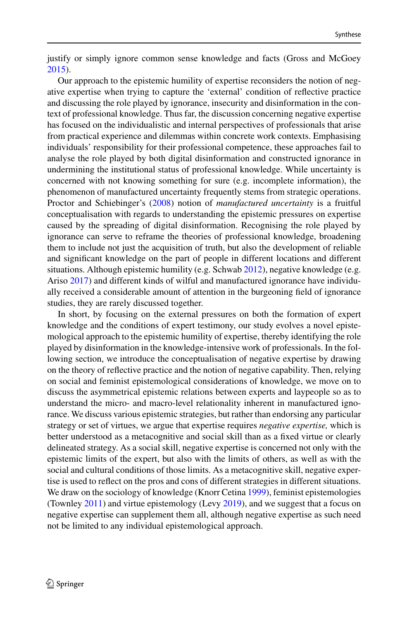justify or simply ignore common sense knowledge and facts (Gross and McGoey [2015\)](#page-17-4).

Our approach to the epistemic humility of expertise reconsiders the notion of negative expertise when trying to capture the 'external' condition of reflective practice and discussing the role played by ignorance, insecurity and disinformation in the context of professional knowledge. Thus far, the discussion concerning negative expertise has focused on the individualistic and internal perspectives of professionals that arise from practical experience and dilemmas within concrete work contexts. Emphasising individuals' responsibility for their professional competence, these approaches fail to analyse the role played by both digital disinformation and constructed ignorance in undermining the institutional status of professional knowledge. While uncertainty is concerned with not knowing something for sure (e.g. incomplete information), the phenomenon of manufactured uncertainty frequently stems from strategic operations. Proctor and Schiebinger's [\(2008\)](#page-17-3) notion of *manufactured uncertainty* is a fruitful conceptualisation with regards to understanding the epistemic pressures on expertise caused by the spreading of digital disinformation. Recognising the role played by ignorance can serve to reframe the theories of professional knowledge, broadening them to include not just the acquisition of truth, but also the development of reliable and significant knowledge on the part of people in different locations and different situations. Although epistemic humility (e.g. Schwab [2012\)](#page-18-8), negative knowledge (e.g. Ariso [2017\)](#page-16-5) and different kinds of wilful and manufactured ignorance have individually received a considerable amount of attention in the burgeoning field of ignorance studies, they are rarely discussed together.

In short, by focusing on the external pressures on both the formation of expert knowledge and the conditions of expert testimony, our study evolves a novel epistemological approach to the epistemic humility of expertise, thereby identifying the role played by disinformation in the knowledge-intensive work of professionals. In the following section, we introduce the conceptualisation of negative expertise by drawing on the theory of reflective practice and the notion of negative capability. Then, relying on social and feminist epistemological considerations of knowledge, we move on to discuss the asymmetrical epistemic relations between experts and laypeople so as to understand the micro- and macro-level relationality inherent in manufactured ignorance. We discuss various epistemic strategies, but rather than endorsing any particular strategy or set of virtues, we argue that expertise requires *negative expertise,* which is better understood as a metacognitive and social skill than as a fixed virtue or clearly delineated strategy. As a social skill, negative expertise is concerned not only with the epistemic limits of the expert, but also with the limits of others, as well as with the social and cultural conditions of those limits. As a metacognitive skill, negative expertise is used to reflect on the pros and cons of different strategies in different situations. We draw on the sociology of knowledge (Knorr Cetina [1999\)](#page-17-5), feminist epistemologies (Townley [2011\)](#page-18-9) and virtue epistemology (Levy [2019\)](#page-17-6), and we suggest that a focus on negative expertise can supplement them all, although negative expertise as such need not be limited to any individual epistemological approach.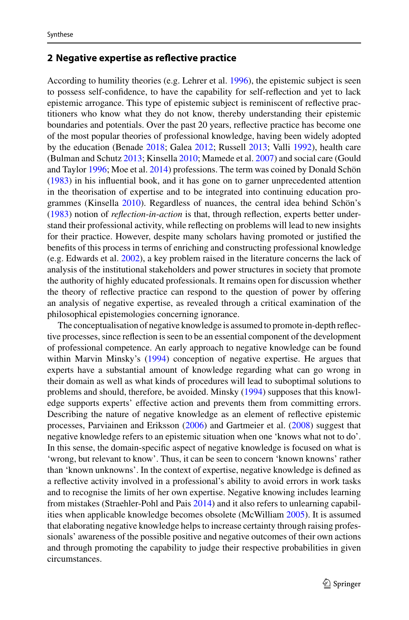#### **2 Negative expertise as reflective practice**

According to humility theories (e.g. Lehrer et al. [1996\)](#page-17-7), the epistemic subject is seen to possess self-confidence, to have the capability for self-reflection and yet to lack epistemic arrogance. This type of epistemic subject is reminiscent of reflective practitioners who know what they do not know, thereby understanding their epistemic boundaries and potentials. Over the past 20 years, reflective practice has become one of the most popular theories of professional knowledge, having been widely adopted by the education (Benade [2018;](#page-16-6) Galea [2012;](#page-16-7) Russell [2013;](#page-18-10) Valli [1992\)](#page-18-11), health care (Bulman and Schutz [2013;](#page-16-8) Kinsella [2010;](#page-17-8) Mamede et al. [2007\)](#page-17-9) and social care (Gould and Taylor [1996;](#page-16-9) Moe et al. [2014\)](#page-17-10) professions. The term was coined by Donald Schön [\(1983\)](#page-18-1) in his influential book, and it has gone on to garner unprecedented attention in the theorisation of expertise and to be integrated into continuing education programmes (Kinsella [2010\)](#page-17-8). Regardless of nuances, the central idea behind Schön's [\(1983\)](#page-18-1) notion of *reflection*-*in*-*action* is that, through reflection, experts better understand their professional activity, while reflecting on problems will lead to new insights for their practice. However, despite many scholars having promoted or justified the benefits of this process in terms of enriching and constructing professional knowledge (e.g. Edwards et al. [2002\)](#page-16-10), a key problem raised in the literature concerns the lack of analysis of the institutional stakeholders and power structures in society that promote the authority of highly educated professionals. It remains open for discussion whether the theory of reflective practice can respond to the question of power by offering an analysis of negative expertise, as revealed through a critical examination of the philosophical epistemologies concerning ignorance.

The conceptualisation of negative knowledge is assumed to promote in-depth reflective processes, since reflection is seen to be an essential component of the development of professional competence. An early approach to negative knowledge can be found within Marvin Minsky's [\(1994\)](#page-17-11) conception of negative expertise. He argues that experts have a substantial amount of knowledge regarding what can go wrong in their domain as well as what kinds of procedures will lead to suboptimal solutions to problems and should, therefore, be avoided. Minsky [\(1994\)](#page-17-11) supposes that this knowledge supports experts' effective action and prevents them from committing errors. Describing the nature of negative knowledge as an element of reflective epistemic processes, Parviainen and Eriksson [\(2006\)](#page-17-12) and Gartmeier et al. [\(2008\)](#page-16-1) suggest that negative knowledge refers to an epistemic situation when one 'knows what not to do'. In this sense, the domain-specific aspect of negative knowledge is focused on what is 'wrong, but relevant to know'. Thus, it can be seen to concern 'known knowns' rather than 'known unknowns'. In the context of expertise, negative knowledge is defined as a reflective activity involved in a professional's ability to avoid errors in work tasks and to recognise the limits of her own expertise. Negative knowing includes learning from mistakes (Straehler-Pohl and Pais [2014\)](#page-18-12) and it also refers to unlearning capabilities when applicable knowledge becomes obsolete (McWilliam [2005\)](#page-17-13). It is assumed that elaborating negative knowledge helps to increase certainty through raising professionals' awareness of the possible positive and negative outcomes of their own actions and through promoting the capability to judge their respective probabilities in given circumstances.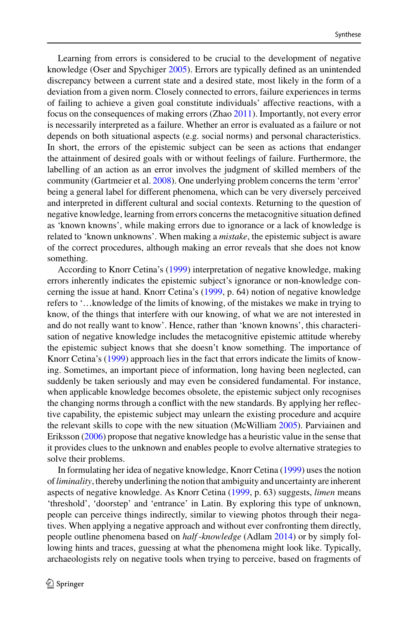Learning from errors is considered to be crucial to the development of negative knowledge (Oser and Spychiger [2005\)](#page-17-14). Errors are typically defined as an unintended discrepancy between a current state and a desired state, most likely in the form of a deviation from a given norm. Closely connected to errors, failure experiences in terms of failing to achieve a given goal constitute individuals' affective reactions, with a focus on the consequences of making errors (Zhao [2011\)](#page-18-13). Importantly, not every error is necessarily interpreted as a failure. Whether an error is evaluated as a failure or not depends on both situational aspects (e.g. social norms) and personal characteristics. In short, the errors of the epistemic subject can be seen as actions that endanger the attainment of desired goals with or without feelings of failure. Furthermore, the labelling of an action as an error involves the judgment of skilled members of the community (Gartmeier et al. [2008\)](#page-16-1). One underlying problem concerns the term 'error' being a general label for different phenomena, which can be very diversely perceived and interpreted in different cultural and social contexts. Returning to the question of negative knowledge, learning from errors concerns the metacognitive situation defined as 'known knowns', while making errors due to ignorance or a lack of knowledge is related to 'known unknowns'. When making a *mistake*, the epistemic subject is aware of the correct procedures, although making an error reveals that she does not know something.

According to Knorr Cetina's [\(1999\)](#page-17-5) interpretation of negative knowledge, making errors inherently indicates the epistemic subject's ignorance or non-knowledge concerning the issue at hand. Knorr Cetina's [\(1999,](#page-17-5) p. 64) notion of negative knowledge refers to '…knowledge of the limits of knowing, of the mistakes we make in trying to know, of the things that interfere with our knowing, of what we are not interested in and do not really want to know'. Hence, rather than 'known knowns', this characterisation of negative knowledge includes the metacognitive epistemic attitude whereby the epistemic subject knows that she doesn't know something. The importance of Knorr Cetina's [\(1999\)](#page-17-5) approach lies in the fact that errors indicate the limits of knowing. Sometimes, an important piece of information, long having been neglected, can suddenly be taken seriously and may even be considered fundamental. For instance, when applicable knowledge becomes obsolete, the epistemic subject only recognises the changing norms through a conflict with the new standards. By applying her reflective capability, the epistemic subject may unlearn the existing procedure and acquire the relevant skills to cope with the new situation (McWilliam [2005\)](#page-17-13). Parviainen and Eriksson [\(2006\)](#page-17-12) propose that negative knowledge has a heuristic value in the sense that it provides clues to the unknown and enables people to evolve alternative strategies to solve their problems.

In formulating her idea of negative knowledge, Knorr Cetina [\(1999\)](#page-17-5) uses the notion of*liminality*, thereby underlining the notion that ambiguity and uncertainty are inherent aspects of negative knowledge. As Knorr Cetina [\(1999,](#page-17-5) p. 63) suggests, *limen* means 'threshold', 'doorstep' and 'entrance' in Latin. By exploring this type of unknown, people can perceive things indirectly, similar to viewing photos through their negatives. When applying a negative approach and without ever confronting them directly, people outline phenomena based on *half* -*knowledge* (Adlam [2014\)](#page-16-11) or by simply following hints and traces, guessing at what the phenomena might look like. Typically, archaeologists rely on negative tools when trying to perceive, based on fragments of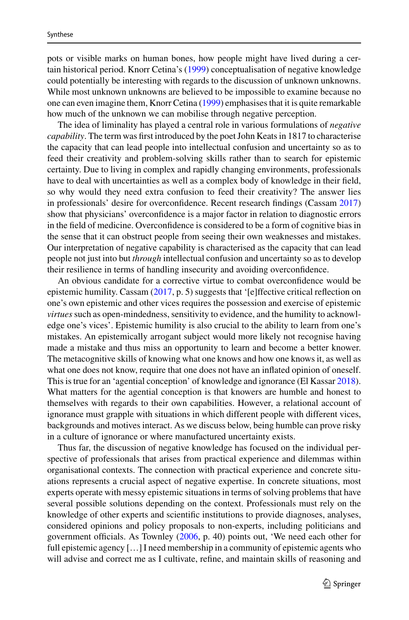pots or visible marks on human bones, how people might have lived during a certain historical period. Knorr Cetina's [\(1999\)](#page-17-5) conceptualisation of negative knowledge could potentially be interesting with regards to the discussion of unknown unknowns. While most unknown unknowns are believed to be impossible to examine because no one can even imagine them, Knorr Cetina [\(1999\)](#page-17-5) emphasises that it is quite remarkable how much of the unknown we can mobilise through negative perception.

The idea of liminality has played a central role in various formulations of *negative capability*. The term was first introduced by the poet John Keats in 1817 to characterise the capacity that can lead people into intellectual confusion and uncertainty so as to feed their creativity and problem-solving skills rather than to search for epistemic certainty. Due to living in complex and rapidly changing environments, professionals have to deal with uncertainties as well as a complex body of knowledge in their field, so why would they need extra confusion to feed their creativity? The answer lies in professionals' desire for overconfidence. Recent research findings (Cassam [2017\)](#page-16-12) show that physicians' overconfidence is a major factor in relation to diagnostic errors in the field of medicine. Overconfidence is considered to be a form of cognitive bias in the sense that it can obstruct people from seeing their own weaknesses and mistakes. Our interpretation of negative capability is characterised as the capacity that can lead people not just into but *through* intellectual confusion and uncertainty so as to develop their resilience in terms of handling insecurity and avoiding overconfidence.

An obvious candidate for a corrective virtue to combat overconfidence would be epistemic humility. Cassam [\(2017,](#page-16-12) p. 5) suggests that '[e]ffective critical reflection on one's own epistemic and other vices requires the possession and exercise of epistemic *virtues*such as open-mindedness, sensitivity to evidence, and the humility to acknowledge one's vices'. Epistemic humility is also crucial to the ability to learn from one's mistakes. An epistemically arrogant subject would more likely not recognise having made a mistake and thus miss an opportunity to learn and become a better knower. The metacognitive skills of knowing what one knows and how one knows it, as well as what one does not know, require that one does not have an inflated opinion of oneself. This is true for an 'agential conception' of knowledge and ignorance (El Kassar [2018\)](#page-16-4). What matters for the agential conception is that knowers are humble and honest to themselves with regards to their own capabilities. However, a relational account of ignorance must grapple with situations in which different people with different vices, backgrounds and motives interact. As we discuss below, being humble can prove risky in a culture of ignorance or where manufactured uncertainty exists.

Thus far, the discussion of negative knowledge has focused on the individual perspective of professionals that arises from practical experience and dilemmas within organisational contexts. The connection with practical experience and concrete situations represents a crucial aspect of negative expertise. In concrete situations, most experts operate with messy epistemic situations in terms of solving problems that have several possible solutions depending on the context. Professionals must rely on the knowledge of other experts and scientific institutions to provide diagnoses, analyses, considered opinions and policy proposals to non-experts, including politicians and government officials. As Townley [\(2006,](#page-18-14) p. 40) points out, 'We need each other for full epistemic agency [...] I need membership in a community of epistemic agents who will advise and correct me as I cultivate, refine, and maintain skills of reasoning and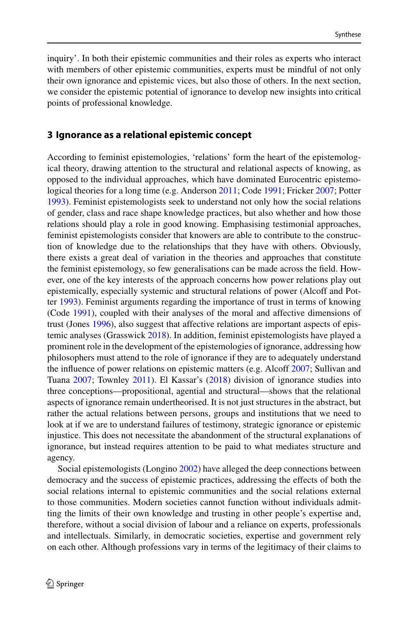inquiry'. In both their epistemic communities and their roles as experts who interact with members of other epistemic communities, experts must be mindful of not only their own ignorance and epistemic vices, but also those of others. In the next section, we consider the epistemic potential of ignorance to develop new insights into critical points of professional knowledge.

#### **3 Ignorance as a relational epistemic concept**

According to feminist epistemologies, 'relations' form the heart of the epistemological theory, drawing attention to the structural and relational aspects of knowing, as opposed to the individual approaches, which have dominated Eurocentric epistemological theories for a long time (e.g. Anderson [2011;](#page-16-13) Code [1991;](#page-16-14) Fricker [2007;](#page-16-15) Potter [1993\)](#page-17-15). Feminist epistemologists seek to understand not only how the social relations of gender, class and race shape knowledge practices, but also whether and how those relations should play a role in good knowing. Emphasising testimonial approaches, feminist epistemologists consider that knowers are able to contribute to the construction of knowledge due to the relationships that they have with others. Obviously, there exists a great deal of variation in the theories and approaches that constitute the feminist epistemology, so few generalisations can be made across the field. However, one of the key interests of the approach concerns how power relations play out epistemically, especially systemic and structural relations of power (Alcoff and Potter [1993\)](#page-16-16). Feminist arguments regarding the importance of trust in terms of knowing (Code [1991\)](#page-16-14), coupled with their analyses of the moral and affective dimensions of trust (Jones [1996\)](#page-17-16), also suggest that affective relations are important aspects of epistemic analyses (Grasswick [2018\)](#page-17-17). In addition, feminist epistemologists have played a prominent role in the development of the epistemologies of ignorance, addressing how philosophers must attend to the role of ignorance if they are to adequately understand the influence of power relations on epistemic matters (e.g. Alcoff [2007;](#page-16-2) Sullivan and Tuana [2007;](#page-18-15) Townley [2011\)](#page-18-9). El Kassar's [\(2018\)](#page-16-4) division of ignorance studies into three conceptions—propositional, agential and structural—shows that the relational aspects of ignorance remain undertheorised. It is not just structures in the abstract, but rather the actual relations between persons, groups and institutions that we need to look at if we are to understand failures of testimony, strategic ignorance or epistemic injustice. This does not necessitate the abandonment of the structural explanations of ignorance, but instead requires attention to be paid to what mediates structure and agency.

Social epistemologists (Longino [2002\)](#page-17-18) have alleged the deep connections between democracy and the success of epistemic practices, addressing the effects of both the social relations internal to epistemic communities and the social relations external to those communities. Modern societies cannot function without individuals admitting the limits of their own knowledge and trusting in other people's expertise and, therefore, without a social division of labour and a reliance on experts, professionals and intellectuals. Similarly, in democratic societies, expertise and government rely on each other. Although professions vary in terms of the legitimacy of their claims to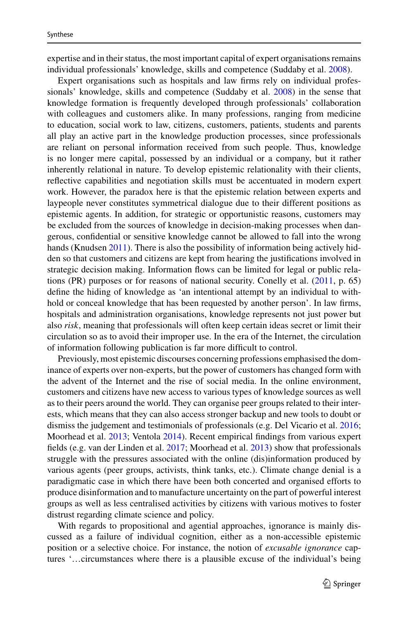expertise and in their status, the most important capital of expert organisations remains individual professionals' knowledge, skills and competence (Suddaby et al. [2008\)](#page-18-16).

Expert organisations such as hospitals and law firms rely on individual professionals' knowledge, skills and competence (Suddaby et al. [2008\)](#page-18-16) in the sense that knowledge formation is frequently developed through professionals' collaboration with colleagues and customers alike. In many professions, ranging from medicine to education, social work to law, citizens, customers, patients, students and parents all play an active part in the knowledge production processes, since professionals are reliant on personal information received from such people. Thus, knowledge is no longer mere capital, possessed by an individual or a company, but it rather inherently relational in nature. To develop epistemic relationality with their clients, reflective capabilities and negotiation skills must be accentuated in modern expert work. However, the paradox here is that the epistemic relation between experts and laypeople never constitutes symmetrical dialogue due to their different positions as epistemic agents. In addition, for strategic or opportunistic reasons, customers may be excluded from the sources of knowledge in decision-making processes when dangerous, confidential or sensitive knowledge cannot be allowed to fall into the wrong hands (Knudsen [2011\)](#page-17-19). There is also the possibility of information being actively hidden so that customers and citizens are kept from hearing the justifications involved in strategic decision making. Information flows can be limited for legal or public relations (PR) purposes or for reasons of national security. Conelly et al. [\(2011,](#page-16-17) p. 65) define the hiding of knowledge as 'an intentional attempt by an individual to withhold or conceal knowledge that has been requested by another person'. In law firms, hospitals and administration organisations, knowledge represents not just power but also *risk*, meaning that professionals will often keep certain ideas secret or limit their circulation so as to avoid their improper use. In the era of the Internet, the circulation of information following publication is far more difficult to control.

Previously, most epistemic discourses concerning professions emphasised the dominance of experts over non-experts, but the power of customers has changed form with the advent of the Internet and the rise of social media. In the online environment, customers and citizens have new access to various types of knowledge sources as well as to their peers around the world. They can organise peer groups related to their interests, which means that they can also access stronger backup and new tools to doubt or dismiss the judgement and testimonials of professionals (e.g. Del Vicario et al. [2016;](#page-16-18) Moorhead et al. [2013;](#page-17-20) Ventola [2014\)](#page-18-17). Recent empirical findings from various expert fields (e.g. van der Linden et al. [2017;](#page-18-18) Moorhead et al. [2013\)](#page-17-20) show that professionals struggle with the pressures associated with the online (dis)information produced by various agents (peer groups, activists, think tanks, etc.). Climate change denial is a paradigmatic case in which there have been both concerted and organised efforts to produce disinformation and to manufacture uncertainty on the part of powerful interest groups as well as less centralised activities by citizens with various motives to foster distrust regarding climate science and policy.

With regards to propositional and agential approaches, ignorance is mainly discussed as a failure of individual cognition, either as a non-accessible epistemic position or a selective choice. For instance, the notion of *excusable ignorance* captures '…circumstances where there is a plausible excuse of the individual's being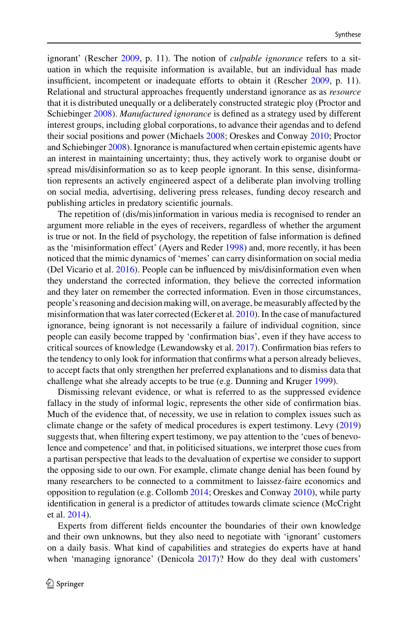ignorant' (Rescher [2009,](#page-18-4) p. 11). The notion of *culpable ignorance* refers to a situation in which the requisite information is available, but an individual has made insufficient, incompetent or inadequate efforts to obtain it (Rescher [2009,](#page-18-4) p. 11). Relational and structural approaches frequently understand ignorance as as *resource* that it is distributed unequally or a deliberately constructed strategic ploy (Proctor and Schiebinger [2008\)](#page-17-3). *Manufactured ignorance* is defined as a strategy used by different interest groups, including global corporations, to advance their agendas and to defend their social positions and power (Michaels [2008;](#page-17-21) Oreskes and Conway [2010;](#page-17-22) Proctor and Schiebinger [2008\)](#page-17-3). Ignorance is manufactured when certain epistemic agents have an interest in maintaining uncertainty; thus, they actively work to organise doubt or spread mis/disinformation so as to keep people ignorant. In this sense, disinformation represents an actively engineered aspect of a deliberate plan involving trolling on social media, advertising, delivering press releases, funding decoy research and publishing articles in predatory scientific journals.

The repetition of (dis/mis)information in various media is recognised to render an argument more reliable in the eyes of receivers, regardless of whether the argument is true or not. In the field of psychology, the repetition of false information is defined as the 'misinformation effect' (Ayers and Reder [1998\)](#page-16-19) and, more recently, it has been noticed that the mimic dynamics of 'memes' can carry disinformation on social media (Del Vicario et al. [2016\)](#page-16-18). People can be influenced by mis/disinformation even when they understand the corrected information, they believe the corrected information and they later on remember the corrected information. Even in those circumstances, people's reasoning and decision making will, on average, be measurably affected by the misinformation that was later corrected (Ecker et al. [2010\)](#page-16-20). In the case of manufactured ignorance, being ignorant is not necessarily a failure of individual cognition, since people can easily become trapped by 'confirmation bias', even if they have access to critical sources of knowledge (Lewandowsky et al. [2017\)](#page-17-23). Confirmation bias refers to the tendency to only look for information that confirms what a person already believes, to accept facts that only strengthen her preferred explanations and to dismiss data that challenge what she already accepts to be true (e.g. Dunning and Kruger [1999\)](#page-16-21).

Dismissing relevant evidence, or what is referred to as the suppressed evidence fallacy in the study of informal logic, represents the other side of confirmation bias. Much of the evidence that, of necessity, we use in relation to complex issues such as climate change or the safety of medical procedures is expert testimony. Levy [\(2019\)](#page-17-6) suggests that, when filtering expert testimony, we pay attention to the 'cues of benevolence and competence' and that, in politicised situations, we interpret those cues from a partisan perspective that leads to the devaluation of expertise we consider to support the opposing side to our own. For example, climate change denial has been found by many researchers to be connected to a commitment to laissez-faire economics and opposition to regulation (e.g. Collomb [2014;](#page-16-22) Oreskes and Conway [2010\)](#page-17-22), while party identification in general is a predictor of attitudes towards climate science (McCright et al. [2014\)](#page-17-24).

Experts from different fields encounter the boundaries of their own knowledge and their own unknowns, but they also need to negotiate with 'ignorant' customers on a daily basis. What kind of capabilities and strategies do experts have at hand when 'managing ignorance' (Denicola [2017\)](#page-16-23)? How do they deal with customers'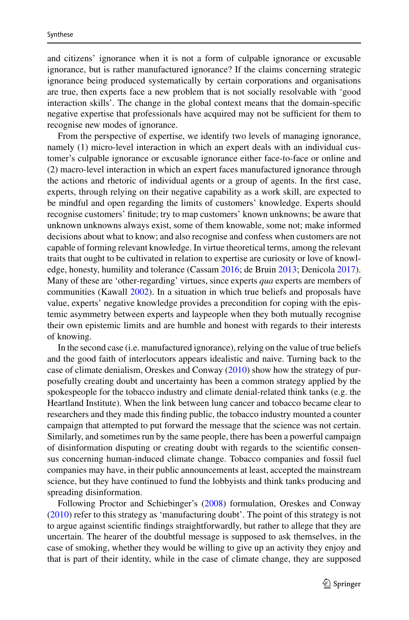and citizens' ignorance when it is not a form of culpable ignorance or excusable ignorance, but is rather manufactured ignorance? If the claims concerning strategic ignorance being produced systematically by certain corporations and organisations are true, then experts face a new problem that is not socially resolvable with 'good interaction skills'. The change in the global context means that the domain-specific negative expertise that professionals have acquired may not be sufficient for them to recognise new modes of ignorance.

From the perspective of expertise, we identify two levels of managing ignorance, namely (1) micro-level interaction in which an expert deals with an individual customer's culpable ignorance or excusable ignorance either face-to-face or online and (2) macro-level interaction in which an expert faces manufactured ignorance through the actions and rhetoric of individual agents or a group of agents. In the first case, experts, through relying on their negative capability as a work skill, are expected to be mindful and open regarding the limits of customers' knowledge. Experts should recognise customers' finitude; try to map customers' known unknowns; be aware that unknown unknowns always exist, some of them knowable, some not; make informed decisions about what to know; and also recognise and confess when customers are not capable of forming relevant knowledge. In virtue theoretical terms, among the relevant traits that ought to be cultivated in relation to expertise are curiosity or love of knowledge, honesty, humility and tolerance (Cassam [2016;](#page-16-24) de Bruin [2013;](#page-16-25) Denicola [2017\)](#page-16-23). Many of these are 'other-regarding' virtues, since experts *qua* experts are members of communities (Kawall [2002\)](#page-17-25). In a situation in which true beliefs and proposals have value, experts' negative knowledge provides a precondition for coping with the epistemic asymmetry between experts and laypeople when they both mutually recognise their own epistemic limits and are humble and honest with regards to their interests of knowing.

In the second case (i.e. manufactured ignorance), relying on the value of true beliefs and the good faith of interlocutors appears idealistic and naive. Turning back to the case of climate denialism, Oreskes and Conway [\(2010\)](#page-17-22) show how the strategy of purposefully creating doubt and uncertainty has been a common strategy applied by the spokespeople for the tobacco industry and climate denial-related think tanks (e.g. the Heartland Institute). When the link between lung cancer and tobacco became clear to researchers and they made this finding public, the tobacco industry mounted a counter campaign that attempted to put forward the message that the science was not certain. Similarly, and sometimes run by the same people, there has been a powerful campaign of disinformation disputing or creating doubt with regards to the scientific consensus concerning human-induced climate change. Tobacco companies and fossil fuel companies may have, in their public announcements at least, accepted the mainstream science, but they have continued to fund the lobbyists and think tanks producing and spreading disinformation.

Following Proctor and Schiebinger's [\(2008\)](#page-17-3) formulation, Oreskes and Conway [\(2010\)](#page-17-22) refer to this strategy as 'manufacturing doubt'. The point of this strategy is not to argue against scientific findings straightforwardly, but rather to allege that they are uncertain. The hearer of the doubtful message is supposed to ask themselves, in the case of smoking, whether they would be willing to give up an activity they enjoy and that is part of their identity, while in the case of climate change, they are supposed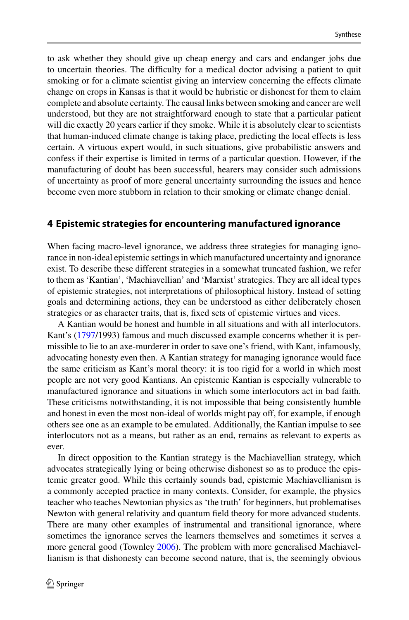to ask whether they should give up cheap energy and cars and endanger jobs due to uncertain theories. The difficulty for a medical doctor advising a patient to quit smoking or for a climate scientist giving an interview concerning the effects climate change on crops in Kansas is that it would be hubristic or dishonest for them to claim complete and absolute certainty. The causal links between smoking and cancer are well understood, but they are not straightforward enough to state that a particular patient will die exactly 20 years earlier if they smoke. While it is absolutely clear to scientists that human-induced climate change is taking place, predicting the local effects is less certain. A virtuous expert would, in such situations, give probabilistic answers and confess if their expertise is limited in terms of a particular question. However, if the manufacturing of doubt has been successful, hearers may consider such admissions of uncertainty as proof of more general uncertainty surrounding the issues and hence become even more stubborn in relation to their smoking or climate change denial.

#### **4 Epistemic strategies for encountering manufactured ignorance**

When facing macro-level ignorance, we address three strategies for managing ignorance in non-ideal epistemic settings in which manufactured uncertainty and ignorance exist. To describe these different strategies in a somewhat truncated fashion, we refer to them as 'Kantian', 'Machiavellian' and 'Marxist' strategies. They are all ideal types of epistemic strategies, not interpretations of philosophical history. Instead of setting goals and determining actions, they can be understood as either deliberately chosen strategies or as character traits, that is, fixed sets of epistemic virtues and vices.

A Kantian would be honest and humble in all situations and with all interlocutors. Kant's [\(1797/](#page-17-26)1993) famous and much discussed example concerns whether it is permissible to lie to an axe-murderer in order to save one's friend, with Kant, infamously, advocating honesty even then. A Kantian strategy for managing ignorance would face the same criticism as Kant's moral theory: it is too rigid for a world in which most people are not very good Kantians. An epistemic Kantian is especially vulnerable to manufactured ignorance and situations in which some interlocutors act in bad faith. These criticisms notwithstanding, it is not impossible that being consistently humble and honest in even the most non-ideal of worlds might pay off, for example, if enough others see one as an example to be emulated. Additionally, the Kantian impulse to see interlocutors not as a means, but rather as an end, remains as relevant to experts as ever.

In direct opposition to the Kantian strategy is the Machiavellian strategy, which advocates strategically lying or being otherwise dishonest so as to produce the epistemic greater good. While this certainly sounds bad, epistemic Machiavellianism is a commonly accepted practice in many contexts. Consider, for example, the physics teacher who teaches Newtonian physics as 'the truth' for beginners, but problematises Newton with general relativity and quantum field theory for more advanced students. There are many other examples of instrumental and transitional ignorance, where sometimes the ignorance serves the learners themselves and sometimes it serves a more general good (Townley [2006\)](#page-18-14). The problem with more generalised Machiavellianism is that dishonesty can become second nature, that is, the seemingly obvious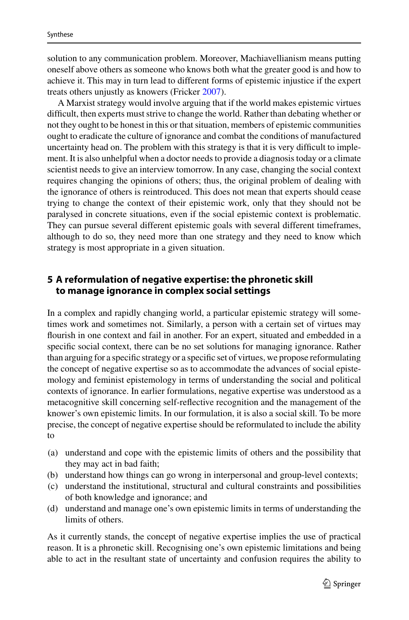solution to any communication problem. Moreover, Machiavellianism means putting oneself above others as someone who knows both what the greater good is and how to achieve it. This may in turn lead to different forms of epistemic injustice if the expert treats others unjustly as knowers (Fricker [2007\)](#page-16-15).

A Marxist strategy would involve arguing that if the world makes epistemic virtues difficult, then experts must strive to change the world. Rather than debating whether or not they ought to be honest in this or that situation, members of epistemic communities ought to eradicate the culture of ignorance and combat the conditions of manufactured uncertainty head on. The problem with this strategy is that it is very difficult to implement. It is also unhelpful when a doctor needs to provide a diagnosis today or a climate scientist needs to give an interview tomorrow. In any case, changing the social context requires changing the opinions of others; thus, the original problem of dealing with the ignorance of others is reintroduced. This does not mean that experts should cease trying to change the context of their epistemic work, only that they should not be paralysed in concrete situations, even if the social epistemic context is problematic. They can pursue several different epistemic goals with several different timeframes, although to do so, they need more than one strategy and they need to know which strategy is most appropriate in a given situation.

### **5 A reformulation of negative expertise: the phronetic skill to manage ignorance in complex social settings**

In a complex and rapidly changing world, a particular epistemic strategy will sometimes work and sometimes not. Similarly, a person with a certain set of virtues may flourish in one context and fail in another. For an expert, situated and embedded in a specific social context, there can be no set solutions for managing ignorance. Rather than arguing for a specific strategy or a specific set of virtues, we propose reformulating the concept of negative expertise so as to accommodate the advances of social epistemology and feminist epistemology in terms of understanding the social and political contexts of ignorance. In earlier formulations, negative expertise was understood as a metacognitive skill concerning self-reflective recognition and the management of the knower's own epistemic limits. In our formulation, it is also a social skill. To be more precise, the concept of negative expertise should be reformulated to include the ability to

- (a) understand and cope with the epistemic limits of others and the possibility that they may act in bad faith;
- (b) understand how things can go wrong in interpersonal and group-level contexts;
- (c) understand the institutional, structural and cultural constraints and possibilities of both knowledge and ignorance; and
- (d) understand and manage one's own epistemic limits in terms of understanding the limits of others.

As it currently stands, the concept of negative expertise implies the use of practical reason. It is a phronetic skill. Recognising one's own epistemic limitations and being able to act in the resultant state of uncertainty and confusion requires the ability to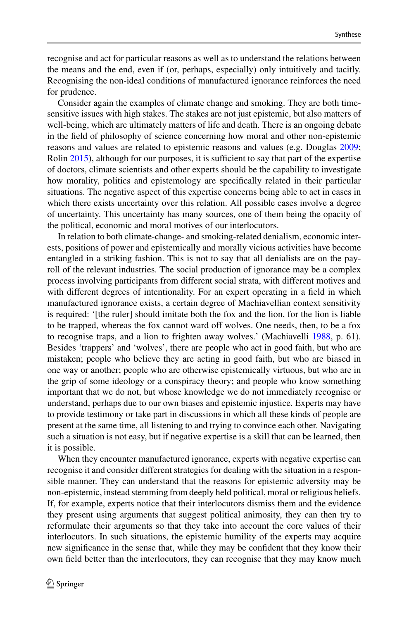recognise and act for particular reasons as well as to understand the relations between the means and the end, even if (or, perhaps, especially) only intuitively and tacitly. Recognising the non-ideal conditions of manufactured ignorance reinforces the need for prudence.

Consider again the examples of climate change and smoking. They are both timesensitive issues with high stakes. The stakes are not just epistemic, but also matters of well-being, which are ultimately matters of life and death. There is an ongoing debate in the field of philosophy of science concerning how moral and other non-epistemic reasons and values are related to epistemic reasons and values (e.g. Douglas [2009;](#page-16-26) Rolin [2015\)](#page-18-19), although for our purposes, it is sufficient to say that part of the expertise of doctors, climate scientists and other experts should be the capability to investigate how morality, politics and epistemology are specifically related in their particular situations. The negative aspect of this expertise concerns being able to act in cases in which there exists uncertainty over this relation. All possible cases involve a degree of uncertainty. This uncertainty has many sources, one of them being the opacity of the political, economic and moral motives of our interlocutors.

In relation to both climate-change- and smoking-related denialism, economic interests, positions of power and epistemically and morally vicious activities have become entangled in a striking fashion. This is not to say that all denialists are on the payroll of the relevant industries. The social production of ignorance may be a complex process involving participants from different social strata, with different motives and with different degrees of intentionality. For an expert operating in a field in which manufactured ignorance exists, a certain degree of Machiavellian context sensitivity is required: '[the ruler] should imitate both the fox and the lion, for the lion is liable to be trapped, whereas the fox cannot ward off wolves. One needs, then, to be a fox to recognise traps, and a lion to frighten away wolves.' (Machiavelli [1988,](#page-17-27) p. 61). Besides 'trappers' and 'wolves', there are people who act in good faith, but who are mistaken; people who believe they are acting in good faith, but who are biased in one way or another; people who are otherwise epistemically virtuous, but who are in the grip of some ideology or a conspiracy theory; and people who know something important that we do not, but whose knowledge we do not immediately recognise or understand, perhaps due to our own biases and epistemic injustice. Experts may have to provide testimony or take part in discussions in which all these kinds of people are present at the same time, all listening to and trying to convince each other. Navigating such a situation is not easy, but if negative expertise is a skill that can be learned, then it is possible.

When they encounter manufactured ignorance, experts with negative expertise can recognise it and consider different strategies for dealing with the situation in a responsible manner. They can understand that the reasons for epistemic adversity may be non-epistemic, instead stemming from deeply held political, moral or religious beliefs. If, for example, experts notice that their interlocutors dismiss them and the evidence they present using arguments that suggest political animosity, they can then try to reformulate their arguments so that they take into account the core values of their interlocutors. In such situations, the epistemic humility of the experts may acquire new significance in the sense that, while they may be confident that they know their own field better than the interlocutors, they can recognise that they may know much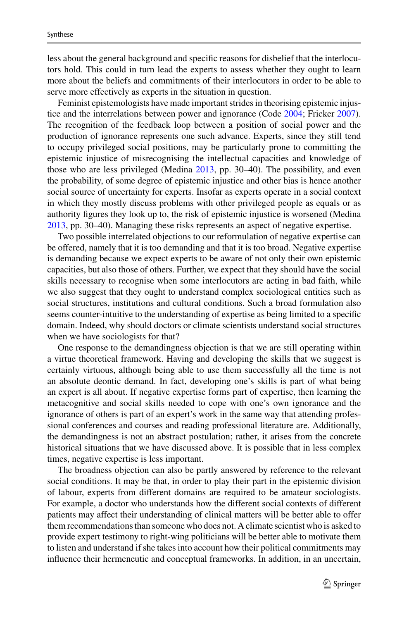less about the general background and specific reasons for disbelief that the interlocutors hold. This could in turn lead the experts to assess whether they ought to learn more about the beliefs and commitments of their interlocutors in order to be able to serve more effectively as experts in the situation in question.

Feminist epistemologists have made important strides in theorising epistemic injustice and the interrelations between power and ignorance (Code [2004;](#page-16-27) Fricker [2007\)](#page-16-15). The recognition of the feedback loop between a position of social power and the production of ignorance represents one such advance. Experts, since they still tend to occupy privileged social positions, may be particularly prone to committing the epistemic injustice of misrecognising the intellectual capacities and knowledge of those who are less privileged (Medina [2013,](#page-17-28) pp. 30–40). The possibility, and even the probability, of some degree of epistemic injustice and other bias is hence another social source of uncertainty for experts. Insofar as experts operate in a social context in which they mostly discuss problems with other privileged people as equals or as authority figures they look up to, the risk of epistemic injustice is worsened (Medina [2013,](#page-17-28) pp. 30–40). Managing these risks represents an aspect of negative expertise.

Two possible interrelated objections to our reformulation of negative expertise can be offered, namely that it is too demanding and that it is too broad. Negative expertise is demanding because we expect experts to be aware of not only their own epistemic capacities, but also those of others. Further, we expect that they should have the social skills necessary to recognise when some interlocutors are acting in bad faith, while we also suggest that they ought to understand complex sociological entities such as social structures, institutions and cultural conditions. Such a broad formulation also seems counter-intuitive to the understanding of expertise as being limited to a specific domain. Indeed, why should doctors or climate scientists understand social structures when we have sociologists for that?

One response to the demandingness objection is that we are still operating within a virtue theoretical framework. Having and developing the skills that we suggest is certainly virtuous, although being able to use them successfully all the time is not an absolute deontic demand. In fact, developing one's skills is part of what being an expert is all about. If negative expertise forms part of expertise, then learning the metacognitive and social skills needed to cope with one's own ignorance and the ignorance of others is part of an expert's work in the same way that attending professional conferences and courses and reading professional literature are. Additionally, the demandingness is not an abstract postulation; rather, it arises from the concrete historical situations that we have discussed above. It is possible that in less complex times, negative expertise is less important.

The broadness objection can also be partly answered by reference to the relevant social conditions. It may be that, in order to play their part in the epistemic division of labour, experts from different domains are required to be amateur sociologists. For example, a doctor who understands how the different social contexts of different patients may affect their understanding of clinical matters will be better able to offer them recommendations than someone who does not. A climate scientist who is asked to provide expert testimony to right-wing politicians will be better able to motivate them to listen and understand if she takes into account how their political commitments may influence their hermeneutic and conceptual frameworks. In addition, in an uncertain,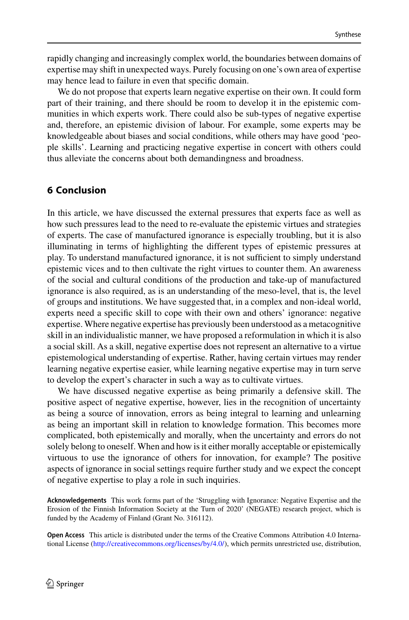rapidly changing and increasingly complex world, the boundaries between domains of expertise may shift in unexpected ways. Purely focusing on one's own area of expertise may hence lead to failure in even that specific domain.

We do not propose that experts learn negative expertise on their own. It could form part of their training, and there should be room to develop it in the epistemic communities in which experts work. There could also be sub-types of negative expertise and, therefore, an epistemic division of labour. For example, some experts may be knowledgeable about biases and social conditions, while others may have good 'people skills'. Learning and practicing negative expertise in concert with others could thus alleviate the concerns about both demandingness and broadness.

#### **6 Conclusion**

In this article, we have discussed the external pressures that experts face as well as how such pressures lead to the need to re-evaluate the epistemic virtues and strategies of experts. The case of manufactured ignorance is especially troubling, but it is also illuminating in terms of highlighting the different types of epistemic pressures at play. To understand manufactured ignorance, it is not sufficient to simply understand epistemic vices and to then cultivate the right virtues to counter them. An awareness of the social and cultural conditions of the production and take-up of manufactured ignorance is also required, as is an understanding of the meso-level, that is, the level of groups and institutions. We have suggested that, in a complex and non-ideal world, experts need a specific skill to cope with their own and others' ignorance: negative expertise. Where negative expertise has previously been understood as a metacognitive skill in an individualistic manner, we have proposed a reformulation in which it is also a social skill. As a skill, negative expertise does not represent an alternative to a virtue epistemological understanding of expertise. Rather, having certain virtues may render learning negative expertise easier, while learning negative expertise may in turn serve to develop the expert's character in such a way as to cultivate virtues.

We have discussed negative expertise as being primarily a defensive skill. The positive aspect of negative expertise, however, lies in the recognition of uncertainty as being a source of innovation, errors as being integral to learning and unlearning as being an important skill in relation to knowledge formation. This becomes more complicated, both epistemically and morally, when the uncertainty and errors do not solely belong to oneself. When and how is it either morally acceptable or epistemically virtuous to use the ignorance of others for innovation, for example? The positive aspects of ignorance in social settings require further study and we expect the concept of negative expertise to play a role in such inquiries.

**Acknowledgements** This work forms part of the 'Struggling with Ignorance: Negative Expertise and the Erosion of the Finnish Information Society at the Turn of 2020' (NEGATE) research project, which is funded by the Academy of Finland (Grant No. 316112).

**Open Access** This article is distributed under the terms of the Creative Commons Attribution 4.0 International License [\(http://creativecommons.org/licenses/by/4.0/\)](http://creativecommons.org/licenses/by/4.0/), which permits unrestricted use, distribution,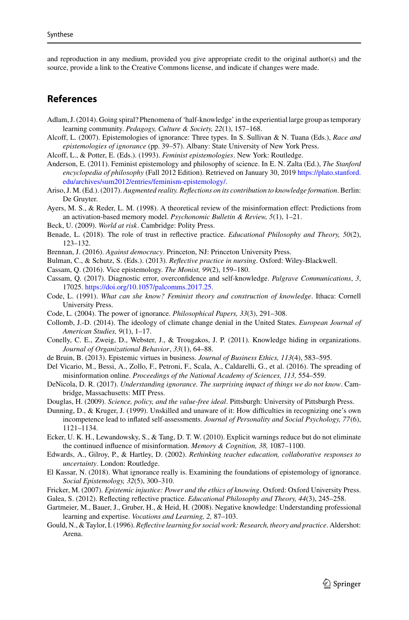and reproduction in any medium, provided you give appropriate credit to the original author(s) and the source, provide a link to the Creative Commons license, and indicate if changes were made.

#### **References**

- <span id="page-16-11"></span>Adlam, J. (2014). Going spiral? Phenomena of 'half-knowledge' in the experiential large group as temporary learning community. *Pedagogy, Culture & Society, 22*(1), 157–168.
- <span id="page-16-2"></span>Alcoff, L. (2007). Epistemologies of ignorance: Three types. In S. Sullivan & N. Tuana (Eds.), *Race and epistemologies of ignorance* (pp. 39–57). Albany: State University of New York Press.
- <span id="page-16-16"></span>Alcoff, L., & Potter, E. (Eds.). (1993). *Feminist epistemologies*. New York: Routledge.
- <span id="page-16-13"></span>Anderson, E. (2011). Feminist epistemology and philosophy of science. In E. N. Zalta (Ed.), *The Stanford encyclopedia of philosophy* (Fall 2012 Edition). Retrieved on January 30, 2019 https://plato.stanford. [edu/archives/sum2012/entries/feminism-epistemology/.](https://plato.stanford.edu/archives/sum2012/entries/feminism-epistemology/)
- <span id="page-16-5"></span>Ariso, J. M. (Ed.). (2017). *Augmented reality. Reflections on its contribution to knowledge formation*. Berlin: De Gruyter.
- <span id="page-16-19"></span>Ayers, M. S., & Reder, L. M. (1998). A theoretical review of the misinformation effect: Predictions from an activation-based memory model. *Psychonomic Bulletin & Review, 5*(1), 1–21.
- <span id="page-16-3"></span>Beck, U. (2009). *World at risk*. Cambridge: Polity Press.
- <span id="page-16-6"></span>Benade, L. (2018). The role of trust in reflective practice. *Educational Philosophy and Theory, 50*(2), 123–132.
- <span id="page-16-0"></span>Brennan, J. (2016). *Against democracy*. Princeton, NJ: Princeton University Press.
- <span id="page-16-8"></span>Bulman, C., & Schutz, S. (Eds.). (2013). *Reflective practice in nursing*. Oxford: Wiley-Blackwell.
- <span id="page-16-24"></span>Cassam, Q. (2016). Vice epistemology. *The Monist, 99*(2), 159–180.
- <span id="page-16-12"></span>Cassam, Q. (2017). Diagnostic error, overconfidence and self-knowledge. *Palgrave Communications*, *3*, 17025. [https://doi.org/10.1057/palcomms.2017.25.](https://doi.org/10.1057/palcomms.2017.25)
- <span id="page-16-14"></span>Code, L. (1991). *What can she know? Feminist theory and construction of knowledge*. Ithaca: Cornell University Press.
- <span id="page-16-27"></span>Code, L. (2004). The power of ignorance. *Philosophical Papers, 33*(3), 291–308.
- <span id="page-16-22"></span>Collomb, J.-D. (2014). The ideology of climate change denial in the United States. *European Journal of American Studies, 9*(1), 1–17.
- <span id="page-16-17"></span>Conelly, C. E., Zweig, D., Webster, J., & Trougakos, J. P. (2011). Knowledge hiding in organizations. *Journal of Organizational Behavior*, *33*(1), 64–88.
- <span id="page-16-25"></span>de Bruin, B. (2013). Epistemic virtues in business. *Journal of Business Ethics, 113*(4), 583–595.
- <span id="page-16-18"></span>Del Vicario, M., Bessi, A., Zollo, F., Petroni, F., Scala, A., Caldarelli, G., et al. (2016). The spreading of misinformation online. *Proceedings of the National Academy of Sciences, 113,* 554–559.
- <span id="page-16-23"></span>DeNicola, D. R. (2017). *Understanding ignorance. The surprising impact of things we do not know*. Cambridge, Massachusetts: MIT Press.
- <span id="page-16-26"></span>Douglas, H. (2009). *Science, policy, and the value-free ideal*. Pittsburgh: University of Pittsburgh Press.
- <span id="page-16-21"></span>Dunning, D., & Kruger, J. (1999). Unskilled and unaware of it: How difficulties in recognizing one's own incompetence lead to inflated self-assessments. *Journal of Personality and Social Psychology, 77*(6), 1121–1134.
- <span id="page-16-20"></span>Ecker, U. K. H., Lewandowsky, S., & Tang, D. T. W. (2010). Explicit warnings reduce but do not eliminate the continued influence of misinformation. *Memory & Cognition, 38,* 1087–1100.
- <span id="page-16-10"></span>Edwards, A., Gilroy, P., & Hartley, D. (2002). *Rethinking teacher education, collaborative responses to uncertainty*. London: Routledge.
- <span id="page-16-4"></span>El Kassar, N. (2018). What ignorance really is. Examining the foundations of epistemology of ignorance. *Social Epistemology, 32*(5), 300–310.
- <span id="page-16-15"></span>Fricker, M. (2007). *Epistemic injustice: Power and the ethics of knowing*. Oxford: Oxford University Press.
- <span id="page-16-7"></span>Galea, S. (2012). Reflecting reflective practice. *Educational Philosophy and Theory, 44*(3), 245–258.
- <span id="page-16-1"></span>Gartmeier, M., Bauer, J., Gruber, H., & Heid, H. (2008). Negative knowledge: Understanding professional learning and expertise. *Vocations and Learning, 2,* 87–103.
- <span id="page-16-9"></span>Gould, N., & Taylor, I. (1996). *Reflective learning for social work: Research, theory and practice*. Aldershot: Arena.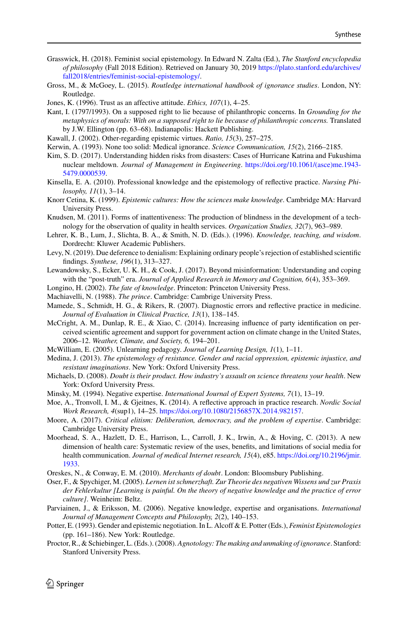- <span id="page-17-17"></span>Grasswick, H. (2018). Feminist social epistemology. In Edward N. Zalta (Ed.), *The Stanford encyclopedia of philosophy* [\(Fall 2018 Edition\). Retrieved on January 30, 2019](https://plato.stanford.edu/archives/fall2018/entries/feminist-social-epistemology/) https://plato.stanford.edu/archives/ fall2018/entries/feminist-social-epistemology/.
- <span id="page-17-4"></span>Gross, M., & McGoey, L. (2015). *Routledge international handbook of ignorance studies*. London, NY: Routledge.
- <span id="page-17-16"></span>Jones, K. (1996). Trust as an affective attitude. *Ethics, 107*(1), 4–25.
- <span id="page-17-26"></span>Kant, I. (1797/1993). On a supposed right to lie because of philanthropic concerns. In *Grounding for the metaphysics of morals: With on a supposed right to lie because of philanthropic concerns.* Translated by J.W. Ellington (pp. 63–68). Indianapolis: Hackett Publishing.
- <span id="page-17-25"></span>Kawall, J. (2002). Other-regarding epistemic virtues. *Ratio, 15*(3), 257–275.
- <span id="page-17-1"></span>Kerwin, A. (1993). None too solid: Medical ignorance. *Science Communication, 15*(2), 2166–2185.
- <span id="page-17-2"></span>Kim, S. D. (2017). Understanding hidden risks from disasters: Cases of Hurricane Katrina and Fukushima nuclear meltdown. *[Journal of Management in Engineering](https://doi.org/10.1061/(asce)me.1943-5479.0000539)*. https://doi.org/10.1061/(asce)me.1943- 5479.0000539.
- <span id="page-17-8"></span>Kinsella, E. A. (2010). Professional knowledge and the epistemology of reflective practice. *Nursing Philosophy, 11*(1), 3–14.
- <span id="page-17-5"></span>Knorr Cetina, K. (1999). *Epistemic cultures: How the sciences make knowledge*. Cambridge MA: Harvard University Press.
- <span id="page-17-19"></span>Knudsen, M. (2011). Forms of inattentiveness: The production of blindness in the development of a technology for the observation of quality in health services. *Organization Studies, 32*(7), 963–989.
- <span id="page-17-7"></span>Lehrer, K. B., Lum, J., Slichta, B. A., & Smith, N. D. (Eds.). (1996). *Knowledge, teaching, and wisdom*. Dordrecht: Kluwer Academic Publishers.
- <span id="page-17-6"></span>Levy, N. (2019). Due deference to denialism: Explaining ordinary people's rejection of established scientific findings. *Synthese, 196*(1), 313–327.
- <span id="page-17-23"></span>Lewandowsky, S., Ecker, U. K. H., & Cook, J. (2017). Beyond misinformation: Understanding and coping with the "post-truth" era. *Journal of Applied Research in Memory and Cognition, 6*(4), 353–369.
- <span id="page-17-18"></span>Longino, H. (2002). *The fate of knowledge*. Princeton: Princeton University Press.
- <span id="page-17-27"></span>Machiavelli, N. (1988). *The prince*. Cambridge: Cambrige University Press.
- <span id="page-17-9"></span>Mamede, S., Schmidt, H. G., & Rikers, R. (2007). Diagnostic errors and reflective practice in medicine. *Journal of Evaluation in Clinical Practice, 13*(1), 138–145.
- <span id="page-17-24"></span>McCright, A. M., Dunlap, R. E., & Xiao, C. (2014). Increasing influence of party identification on perceived scientific agreement and support for government action on climate change in the United States, 2006–12. *Weather, Climate, and Society, 6,* 194–201.
- <span id="page-17-13"></span>McWilliam, E. (2005). Unlearning pedagogy. *Journal of Learning Design, 1*(1), 1–11.
- <span id="page-17-28"></span>Medina, J. (2013). *The epistemology of resistance. Gender and racial oppression, epistemic injustice, and resistant imaginations*. New York: Oxford University Press.
- <span id="page-17-21"></span>Michaels, D. (2008). *Doubt is their product. How industry's assault on science threatens your health*. New York: Oxford University Press.
- <span id="page-17-11"></span>Minsky, M. (1994). Negative expertise. *International Journal of Expert Systems, 7*(1), 13–19.
- <span id="page-17-10"></span>Moe, A., Tronvoll, I. M., & Gjeitnes, K. (2014). A reflective approach in practice research. *Nordic Social Work Research, 4*(sup1), 14–25. [https://doi.org/10.1080/2156857X.2014.982157.](https://doi.org/10.1080/2156857X.2014.982157)
- <span id="page-17-0"></span>Moore, A. (2017). *Critical elitism: Deliberation, democracy, and the problem of expertise*. Cambridge: Cambridge University Press.
- <span id="page-17-20"></span>Moorhead, S. A., Hazlett, D. E., Harrison, L., Carroll, J. K., Irwin, A., & Hoving, C. (2013). A new dimension of health care: Systematic review of the uses, benefits, and limitations of social media for health communication. *[Journal of medical Internet research, 15](https://doi.org/10.2196/jmir.1933)*(4), e85. https://doi.org/10.2196/jmir. 1933.
- <span id="page-17-22"></span>Oreskes, N., & Conway, E. M. (2010). *Merchants of doubt*. London: Bloomsbury Publishing.
- <span id="page-17-14"></span>Oser, F., & Spychiger, M. (2005). *Lernen ist schmerzhaft. Zur Theorie des negativen Wissens und zur Praxis der Fehlerkultur [Learning is painful. On the theory of negative knowledge and the practice of error culture]*. Weinheim: Beltz.
- <span id="page-17-12"></span>Parviainen, J., & Eriksson, M. (2006). Negative knowledge, expertise and organisations. *International Journal of Management Concepts and Philosophy, 2*(2), 140–153.
- <span id="page-17-15"></span>Potter, E. (1993). Gender and epistemic negotiation. In L. Alcoff & E. Potter (Eds.), *Feminist Epistemologies* (pp. 161–186). New York: Routledge.
- <span id="page-17-3"></span>Proctor, R., & Schiebinger, L. (Eds.). (2008). *Agnotology: The making and unmaking of ignorance*. Stanford: Stanford University Press.